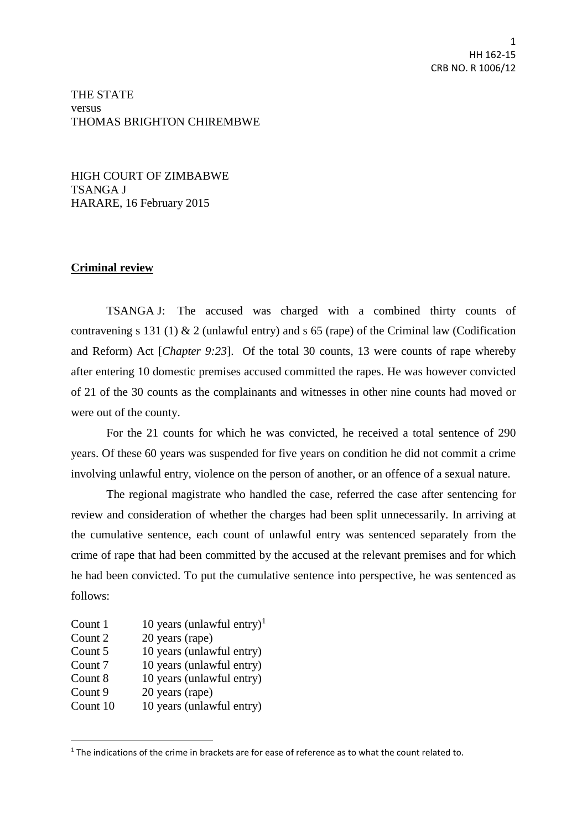## THE STATE versus THOMAS BRIGHTON CHIREMBWE

HIGH COURT OF ZIMBABWE TSANGA J HARARE, 16 February 2015

## **Criminal review**

TSANGA J: The accused was charged with a combined thirty counts of contravening s 131 (1) & 2 (unlawful entry) and s 65 (rape) of the Criminal law (Codification and Reform) Act [*Chapter 9:23*]. Of the total 30 counts, 13 were counts of rape whereby after entering 10 domestic premises accused committed the rapes. He was however convicted of 21 of the 30 counts as the complainants and witnesses in other nine counts had moved or were out of the county.

For the 21 counts for which he was convicted, he received a total sentence of 290 years. Of these 60 years was suspended for five years on condition he did not commit a crime involving unlawful entry, violence on the person of another, or an offence of a sexual nature.

The regional magistrate who handled the case, referred the case after sentencing for review and consideration of whether the charges had been split unnecessarily. In arriving at the cumulative sentence, each count of unlawful entry was sentenced separately from the crime of rape that had been committed by the accused at the relevant premises and for which he had been convicted. To put the cumulative sentence into perspective, he was sentenced as follows:

Count 1  $10$  years (unlawful entry)<sup>1</sup> Count 2 20 years (rape) Count 5 10 years (unlawful entry) Count 7 10 years (unlawful entry) Count 8 10 years (unlawful entry) Count 9 20 years (rape) Count 10 10 years (unlawful entry)

**.** 

 $1$  The indications of the crime in brackets are for ease of reference as to what the count related to.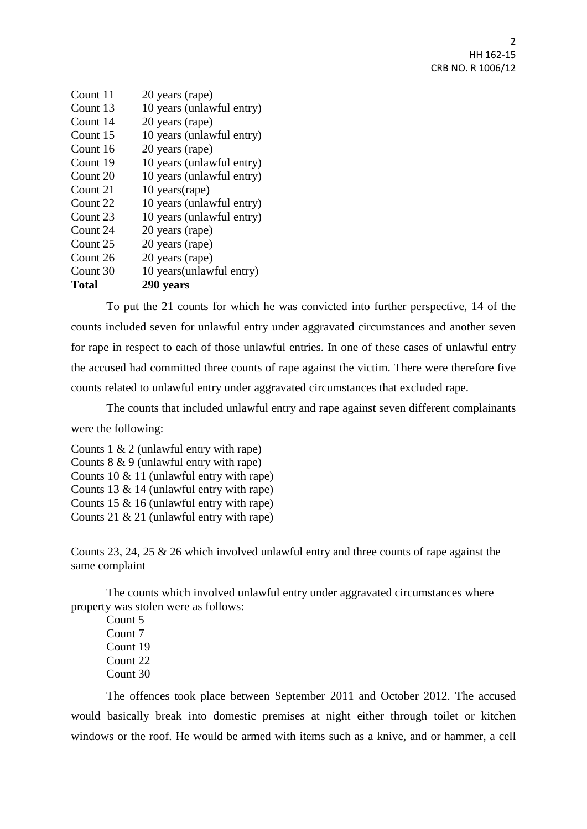| Count 11 | 20 years (rape)           |
|----------|---------------------------|
| Count 13 | 10 years (unlawful entry) |
| Count 14 | 20 years (rape)           |
| Count 15 | 10 years (unlawful entry) |
| Count 16 | 20 years (rape)           |
| Count 19 | 10 years (unlawful entry) |
| Count 20 | 10 years (unlawful entry) |
| Count 21 | $10$ years (rape)         |
| Count 22 | 10 years (unlawful entry) |
| Count 23 | 10 years (unlawful entry) |
| Count 24 | 20 years (rape)           |
| Count 25 | 20 years (rape)           |
| Count 26 | 20 years (rape)           |
| Count 30 | 10 years (unlawful entry) |
| Total    | 290 years                 |

To put the 21 counts for which he was convicted into further perspective, 14 of the counts included seven for unlawful entry under aggravated circumstances and another seven for rape in respect to each of those unlawful entries. In one of these cases of unlawful entry the accused had committed three counts of rape against the victim. There were therefore five counts related to unlawful entry under aggravated circumstances that excluded rape.

The counts that included unlawful entry and rape against seven different complainants

were the following:

Counts 1 & 2 (unlawful entry with rape) Counts 8 & 9 (unlawful entry with rape) Counts 10 & 11 (unlawful entry with rape) Counts 13 & 14 (unlawful entry with rape) Counts 15 & 16 (unlawful entry with rape) Counts 21 & 21 (unlawful entry with rape)

Counts 23, 24, 25 & 26 which involved unlawful entry and three counts of rape against the same complaint

The counts which involved unlawful entry under aggravated circumstances where property was stolen were as follows:

Count 5 Count 7 Count 19 Count 22 Count 30

The offences took place between September 2011 and October 2012. The accused would basically break into domestic premises at night either through toilet or kitchen windows or the roof. He would be armed with items such as a knive, and or hammer, a cell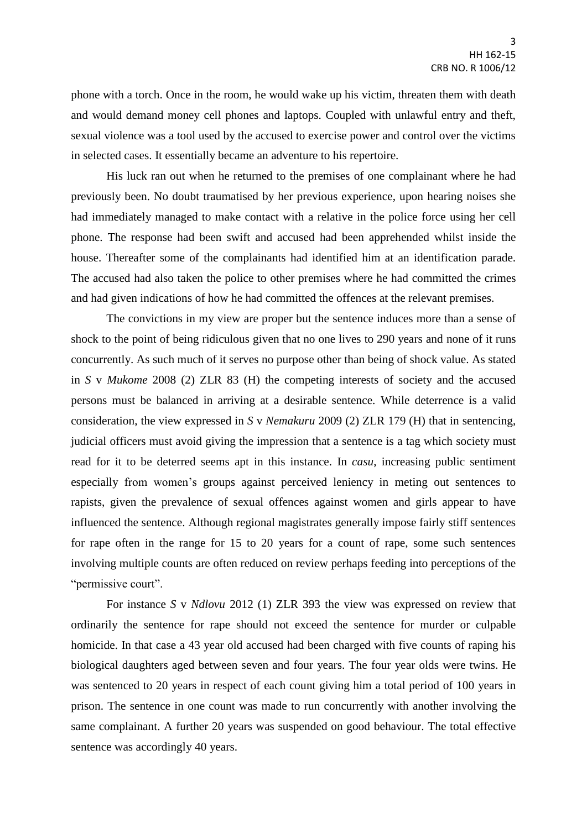phone with a torch. Once in the room, he would wake up his victim, threaten them with death and would demand money cell phones and laptops. Coupled with unlawful entry and theft, sexual violence was a tool used by the accused to exercise power and control over the victims in selected cases. It essentially became an adventure to his repertoire.

His luck ran out when he returned to the premises of one complainant where he had previously been. No doubt traumatised by her previous experience, upon hearing noises she had immediately managed to make contact with a relative in the police force using her cell phone. The response had been swift and accused had been apprehended whilst inside the house. Thereafter some of the complainants had identified him at an identification parade. The accused had also taken the police to other premises where he had committed the crimes and had given indications of how he had committed the offences at the relevant premises.

The convictions in my view are proper but the sentence induces more than a sense of shock to the point of being ridiculous given that no one lives to 290 years and none of it runs concurrently. As such much of it serves no purpose other than being of shock value. As stated in *S* v *Mukome* 2008 (2) ZLR 83 (H) the competing interests of society and the accused persons must be balanced in arriving at a desirable sentence. While deterrence is a valid consideration, the view expressed in *S* v *Nemakuru* 2009 (2) ZLR 179 (H) that in sentencing, judicial officers must avoid giving the impression that a sentence is a tag which society must read for it to be deterred seems apt in this instance. In *casu*, increasing public sentiment especially from women's groups against perceived leniency in meting out sentences to rapists, given the prevalence of sexual offences against women and girls appear to have influenced the sentence. Although regional magistrates generally impose fairly stiff sentences for rape often in the range for 15 to 20 years for a count of rape, some such sentences involving multiple counts are often reduced on review perhaps feeding into perceptions of the "permissive court".

For instance *S* v *Ndlovu* 2012 (1) ZLR 393 the view was expressed on review that ordinarily the sentence for rape should not exceed the sentence for murder or culpable homicide. In that case a 43 year old accused had been charged with five counts of raping his biological daughters aged between seven and four years. The four year olds were twins. He was sentenced to 20 years in respect of each count giving him a total period of 100 years in prison. The sentence in one count was made to run concurrently with another involving the same complainant. A further 20 years was suspended on good behaviour. The total effective sentence was accordingly 40 years.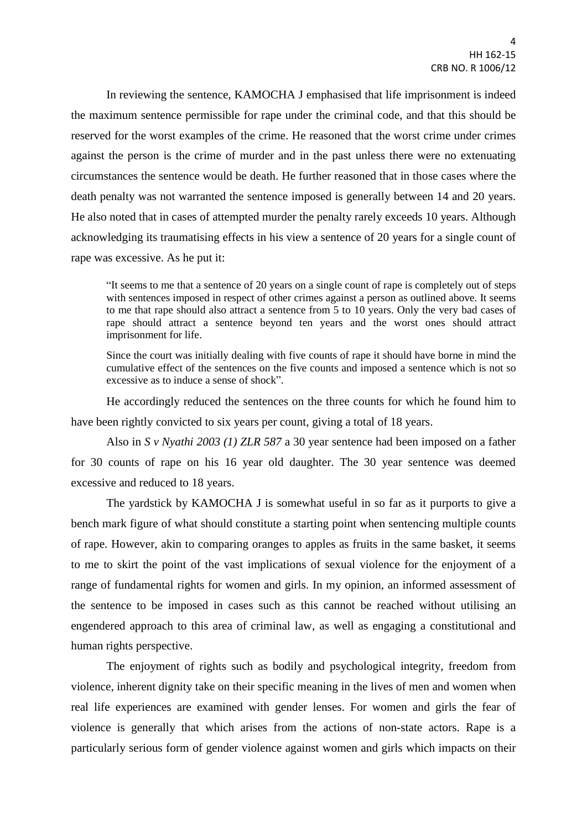In reviewing the sentence, KAMOCHA J emphasised that life imprisonment is indeed the maximum sentence permissible for rape under the criminal code, and that this should be reserved for the worst examples of the crime. He reasoned that the worst crime under crimes against the person is the crime of murder and in the past unless there were no extenuating circumstances the sentence would be death. He further reasoned that in those cases where the death penalty was not warranted the sentence imposed is generally between 14 and 20 years. He also noted that in cases of attempted murder the penalty rarely exceeds 10 years. Although acknowledging its traumatising effects in his view a sentence of 20 years for a single count of rape was excessive. As he put it:

"It seems to me that a sentence of 20 years on a single count of rape is completely out of steps with sentences imposed in respect of other crimes against a person as outlined above. It seems to me that rape should also attract a sentence from 5 to 10 years. Only the very bad cases of rape should attract a sentence beyond ten years and the worst ones should attract imprisonment for life.

Since the court was initially dealing with five counts of rape it should have borne in mind the cumulative effect of the sentences on the five counts and imposed a sentence which is not so excessive as to induce a sense of shock".

He accordingly reduced the sentences on the three counts for which he found him to have been rightly convicted to six years per count, giving a total of 18 years.

Also in *S v Nyathi 2003 (1) ZLR 587* a 30 year sentence had been imposed on a father for 30 counts of rape on his 16 year old daughter. The 30 year sentence was deemed excessive and reduced to 18 years.

The yardstick by KAMOCHA J is somewhat useful in so far as it purports to give a bench mark figure of what should constitute a starting point when sentencing multiple counts of rape. However, akin to comparing oranges to apples as fruits in the same basket, it seems to me to skirt the point of the vast implications of sexual violence for the enjoyment of a range of fundamental rights for women and girls. In my opinion, an informed assessment of the sentence to be imposed in cases such as this cannot be reached without utilising an engendered approach to this area of criminal law, as well as engaging a constitutional and human rights perspective.

The enjoyment of rights such as bodily and psychological integrity, freedom from violence, inherent dignity take on their specific meaning in the lives of men and women when real life experiences are examined with gender lenses. For women and girls the fear of violence is generally that which arises from the actions of non-state actors. Rape is a particularly serious form of gender violence against women and girls which impacts on their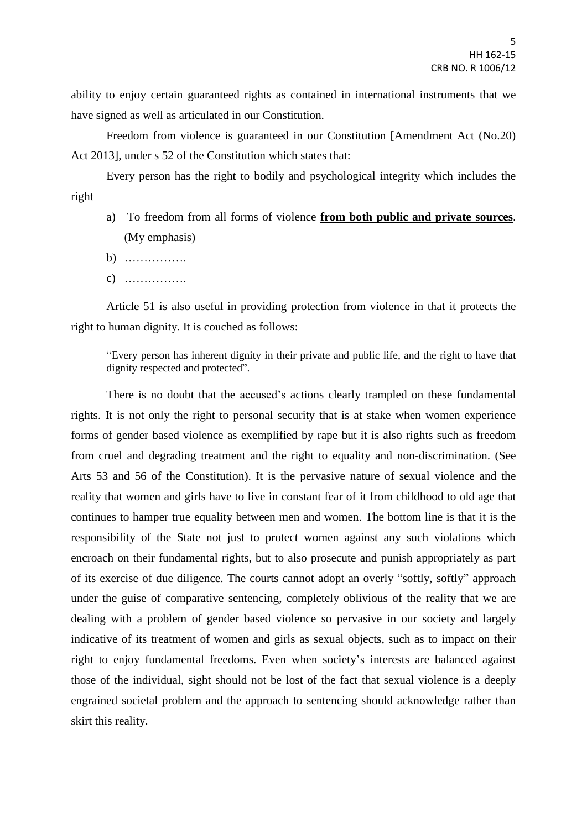ability to enjoy certain guaranteed rights as contained in international instruments that we have signed as well as articulated in our Constitution.

Freedom from violence is guaranteed in our Constitution [Amendment Act (No.20) Act 2013], under s 52 of the Constitution which states that:

Every person has the right to bodily and psychological integrity which includes the right

- a) To freedom from all forms of violence **from both public and private sources**. (My emphasis)
- $h)$
- c) …………….

Article 51 is also useful in providing protection from violence in that it protects the right to human dignity. It is couched as follows:

"Every person has inherent dignity in their private and public life, and the right to have that dignity respected and protected".

There is no doubt that the accused's actions clearly trampled on these fundamental rights. It is not only the right to personal security that is at stake when women experience forms of gender based violence as exemplified by rape but it is also rights such as freedom from cruel and degrading treatment and the right to equality and non-discrimination. (See Arts 53 and 56 of the Constitution). It is the pervasive nature of sexual violence and the reality that women and girls have to live in constant fear of it from childhood to old age that continues to hamper true equality between men and women. The bottom line is that it is the responsibility of the State not just to protect women against any such violations which encroach on their fundamental rights, but to also prosecute and punish appropriately as part of its exercise of due diligence. The courts cannot adopt an overly "softly, softly" approach under the guise of comparative sentencing, completely oblivious of the reality that we are dealing with a problem of gender based violence so pervasive in our society and largely indicative of its treatment of women and girls as sexual objects, such as to impact on their right to enjoy fundamental freedoms. Even when society's interests are balanced against those of the individual, sight should not be lost of the fact that sexual violence is a deeply engrained societal problem and the approach to sentencing should acknowledge rather than skirt this reality.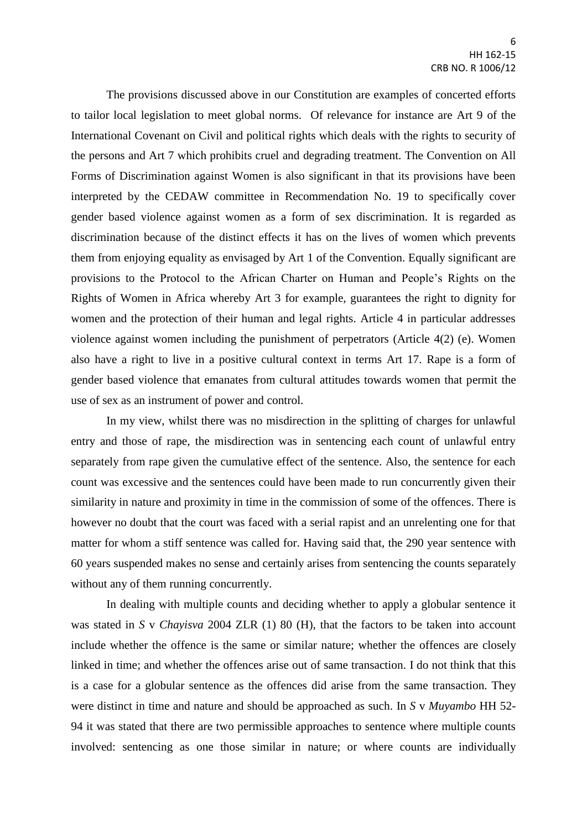The provisions discussed above in our Constitution are examples of concerted efforts to tailor local legislation to meet global norms. Of relevance for instance are Art 9 of the International Covenant on Civil and political rights which deals with the rights to security of the persons and Art 7 which prohibits cruel and degrading treatment. The Convention on All Forms of Discrimination against Women is also significant in that its provisions have been interpreted by the CEDAW committee in Recommendation No. 19 to specifically cover gender based violence against women as a form of sex discrimination. It is regarded as discrimination because of the distinct effects it has on the lives of women which prevents them from enjoying equality as envisaged by Art 1 of the Convention. Equally significant are provisions to the Protocol to the African Charter on Human and People's Rights on the Rights of Women in Africa whereby Art 3 for example, guarantees the right to dignity for women and the protection of their human and legal rights. Article 4 in particular addresses violence against women including the punishment of perpetrators (Article 4(2) (e). Women also have a right to live in a positive cultural context in terms Art 17. Rape is a form of gender based violence that emanates from cultural attitudes towards women that permit the use of sex as an instrument of power and control.

In my view, whilst there was no misdirection in the splitting of charges for unlawful entry and those of rape, the misdirection was in sentencing each count of unlawful entry separately from rape given the cumulative effect of the sentence. Also, the sentence for each count was excessive and the sentences could have been made to run concurrently given their similarity in nature and proximity in time in the commission of some of the offences. There is however no doubt that the court was faced with a serial rapist and an unrelenting one for that matter for whom a stiff sentence was called for. Having said that, the 290 year sentence with 60 years suspended makes no sense and certainly arises from sentencing the counts separately without any of them running concurrently.

In dealing with multiple counts and deciding whether to apply a globular sentence it was stated in *S* v *Chayisva* 2004 ZLR (1) 80 (H), that the factors to be taken into account include whether the offence is the same or similar nature; whether the offences are closely linked in time; and whether the offences arise out of same transaction. I do not think that this is a case for a globular sentence as the offences did arise from the same transaction. They were distinct in time and nature and should be approached as such. In *S* v *Muyambo* HH 52- 94 it was stated that there are two permissible approaches to sentence where multiple counts involved: sentencing as one those similar in nature; or where counts are individually